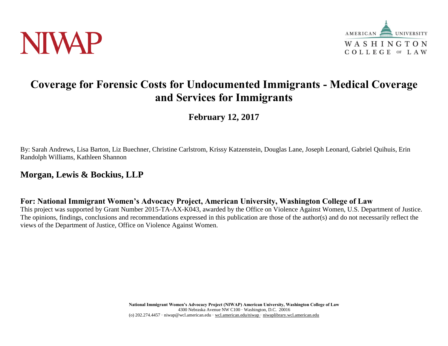



# **Coverage for Forensic Costs for Undocumented Immigrants - Medical Coverage and Services for Immigrants**

**February 12, 2017**

By: Sarah Andrews, Lisa Barton, Liz Buechner, Christine Carlstrom, Krissy Katzenstein, Douglas Lane, Joseph Leonard, Gabriel Quihuis, Erin Randolph Williams, Kathleen Shannon

## **Morgan, Lewis & Bockius, LLP**

**For: National Immigrant Women's Advocacy Project, American University, Washington College of Law**

This project was supported by Grant Number 2015-TA-AX-K043, awarded by the Office on Violence Against Women, U.S. Department of Justice. The opinions, findings, conclusions and recommendations expressed in this publication are those of the author(s) and do not necessarily reflect the views of the Department of Justice, Office on Violence Against Women.

> **National Immigrant Women's Advocacy Project (NIWAP) American University, Washington College of Law** 4300 Nebraska Avenue NW C100 · Washington, D.C. 20016 (o) 202.274.4457 · niwap@wcl.american.edu · wcl.american.edu/niwap · niwaplibrary.wcl.american.edu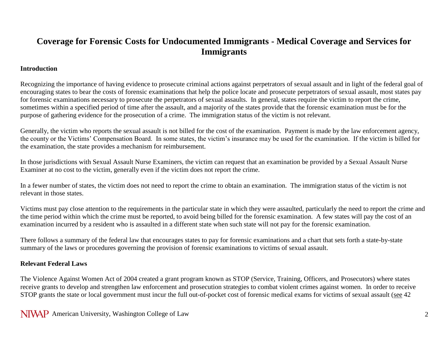## **Coverage for Forensic Costs for Undocumented Immigrants - Medical Coverage and Services for Immigrants**

### **Introduction**

Recognizing the importance of having evidence to prosecute criminal actions against perpetrators of sexual assault and in light of the federal goal of encouraging states to bear the costs of forensic examinations that help the police locate and prosecute perpetrators of sexual assault, most states pay for forensic examinations necessary to prosecute the perpetrators of sexual assaults. In general, states require the victim to report the crime, sometimes within a specified period of time after the assault, and a majority of the states provide that the forensic examination must be for the purpose of gathering evidence for the prosecution of a crime. The immigration status of the victim is not relevant.

Generally, the victim who reports the sexual assault is not billed for the cost of the examination. Payment is made by the law enforcement agency, the county or the Victims' Compensation Board. In some states, the victim's insurance may be used for the examination. If the victim is billed for the examination, the state provides a mechanism for reimbursement.

In those jurisdictions with Sexual Assault Nurse Examiners, the victim can request that an examination be provided by a Sexual Assault Nurse Examiner at no cost to the victim, generally even if the victim does not report the crime.

In a fewer number of states, the victim does not need to report the crime to obtain an examination. The immigration status of the victim is not relevant in those states.

Victims must pay close attention to the requirements in the particular state in which they were assaulted, particularly the need to report the crime and the time period within which the crime must be reported, to avoid being billed for the forensic examination. A few states will pay the cost of an examination incurred by a resident who is assaulted in a different state when such state will not pay for the forensic examination.

There follows a summary of the federal law that encourages states to pay for forensic examinations and a chart that sets forth a state-by-state summary of the laws or procedures governing the provision of forensic examinations to victims of sexual assault.

### **Relevant Federal Laws**

The Violence Against Women Act of 2004 created a grant program known as STOP (Service, Training, Officers, and Prosecutors) where states receive grants to develop and strengthen law enforcement and prosecution strategies to combat violent crimes against women. In order to receive STOP grants the state or local government must incur the full out-of-pocket cost of forensic medical exams for victims of sexual assault (see 42

NIVAP American University, Washington College of Law 2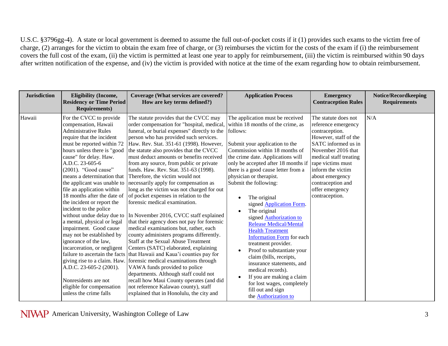U.S.C. §3796gg-4). A state or local government is deemed to assume the full out-of-pocket costs if it (1) provides such exams to the victim free of charge, (2) arranges for the victim to obtain the exam free of charge, or (3) reimburses the victim for the costs of the exam if (i) the reimbursement covers the full cost of the exam, (ii) the victim is permitted at least one year to apply for reimbursement, (iii) the victim is reimbursed within 90 days after written notification of the expense, and (iv) the victim is provided with notice at the time of the exam regarding how to obtain reimbursement.

| <b>Jurisdiction</b> | <b>Eligibility (Income,</b><br><b>Residency or Time Period</b><br><b>Requirements)</b>                                                                                                                                                                                                                                                                                                                                                                                                                                                                                                                                                                                                                                                                                                     | <b>Coverage (What services are covered?</b><br>How are key terms defined?)                                                                                                                                                                                                                                                                                                                                                                                                                                                                                                                                                                                                                                                                                                                                                                                                                                                                                                                                                                                                                                                                                            | <b>Application Process</b>                                                                                                                                                                                                                                                                                                                                                                                                                                                                                                                                                                                                                                                                                                                                                         | <b>Emergency</b><br><b>Contraception Rules</b>                                                                                                                                                                                                                                       | <b>Notice/Recordkeeping</b><br><b>Requirements</b> |
|---------------------|--------------------------------------------------------------------------------------------------------------------------------------------------------------------------------------------------------------------------------------------------------------------------------------------------------------------------------------------------------------------------------------------------------------------------------------------------------------------------------------------------------------------------------------------------------------------------------------------------------------------------------------------------------------------------------------------------------------------------------------------------------------------------------------------|-----------------------------------------------------------------------------------------------------------------------------------------------------------------------------------------------------------------------------------------------------------------------------------------------------------------------------------------------------------------------------------------------------------------------------------------------------------------------------------------------------------------------------------------------------------------------------------------------------------------------------------------------------------------------------------------------------------------------------------------------------------------------------------------------------------------------------------------------------------------------------------------------------------------------------------------------------------------------------------------------------------------------------------------------------------------------------------------------------------------------------------------------------------------------|------------------------------------------------------------------------------------------------------------------------------------------------------------------------------------------------------------------------------------------------------------------------------------------------------------------------------------------------------------------------------------------------------------------------------------------------------------------------------------------------------------------------------------------------------------------------------------------------------------------------------------------------------------------------------------------------------------------------------------------------------------------------------------|--------------------------------------------------------------------------------------------------------------------------------------------------------------------------------------------------------------------------------------------------------------------------------------|----------------------------------------------------|
| Hawaii              | For the CVCC to provide<br>compensation, Hawaii<br><b>Administrative Rules</b><br>require that the incident<br>must be reported within 72<br>hours unless there is "good<br>cause" for delay. Haw.<br>A.D.C. 23-605-6<br>$(2001)$ . "Good cause"<br>means a determination that<br>the applicant was unable to<br>file an application within<br>18 months after the date of<br>the incident or report the<br>incident to the police<br>without undue delay due to<br>a mental, physical or legal<br>impairment. Good cause<br>may not be established by<br>ignorance of the law,<br>incarceration, or negligent<br>failure to ascertain the facts<br>giving rise to a claim. Haw.<br>A.D.C. 23-605-2 (2001).<br>Nonresidents are not<br>eligible for compensation<br>unless the crime falls | The statute provides that the CVCC may<br>order compensation for "hospital, medical,<br>funeral, or burial expenses" directly to the<br>person who has provided such services.<br>Haw. Rev. Stat. 351-61 (1998). However,<br>the statute also provides that the CVCC<br>must deduct amounts or benefits received<br>from any source, from public or private<br>funds. Haw. Rev. Stat. 351-63 (1998).<br>Therefore, the victim would not<br>necessarily apply for compensation as<br>long as the victim was not charged for out<br>of pocket expenses in relation to the<br>forensic medical examination.<br>In November 2016, CVCC staff explained<br>that their agency does not pay for forensic<br>medical examinations but, rather, each<br>county administers programs differently.<br>Staff at the Sexual Abuse Treatment<br>Centers (SATC) elaborated, explaining<br>that Hawaii and Kaua'i counties pay for<br>forensic medical examinations through<br>VAWA funds provided to police<br>departments. Although staff could not<br>recall how Maui County operates (and did<br>not reference Kalawao county), staff<br>explained that in Honolulu, the city and | The application must be received<br>within 18 months of the crime, as<br>follows:<br>Submit your application to the<br>Commission within 18 months of<br>the crime date. Applications will<br>only be accepted after 18 months if<br>there is a good cause letter from a<br>physician or therapist.<br>Submit the following:<br>The original<br>signed <b>Application Form.</b><br>The original<br>signed <b>Authorization</b> to<br><b>Release Medical/Mental</b><br><b>Health Treatment</b><br><b>Information Form for each</b><br>treatment provider.<br>Proof to substantiate your<br>claim (bills, receipts,<br>insurance statements, and<br>medical records).<br>If you are making a claim<br>for lost wages, completely<br>fill out and sign<br>the <b>Authorization</b> to | The statute does not<br>reference emergency<br>contraception.<br>However, staff of the<br>SATC informed us in<br>November 2016 that<br>medical staff treating<br>rape victims must<br>inform the victim<br>about emergency<br>contraception and<br>offer emergency<br>contraception. | N/A                                                |

NIVAP American University, Washington College of Law 3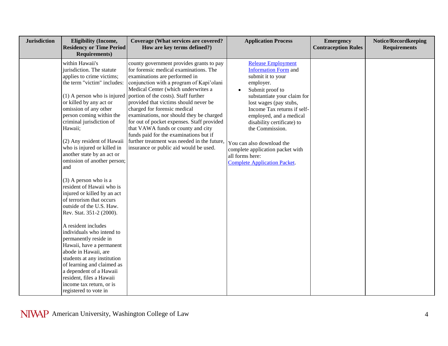| <b>Jurisdiction</b> | <b>Eligibility (Income,</b><br><b>Residency or Time Period</b><br><b>Requirements)</b>                                                                                                                                                                                                                                                                                                                                                                                                                                                                                                                                                                                                                                                                                                                                                                                               | Coverage (What services are covered?<br>How are key terms defined?)                                                                                                                                                                                                                                                                                                                                                                                                                                                                                                                        | <b>Application Process</b>                                                                                                                                                                                                                                                                                                                                                                            | <b>Emergency</b><br><b>Contraception Rules</b> | Notice/Recordkeeping<br><b>Requirements</b> |
|---------------------|--------------------------------------------------------------------------------------------------------------------------------------------------------------------------------------------------------------------------------------------------------------------------------------------------------------------------------------------------------------------------------------------------------------------------------------------------------------------------------------------------------------------------------------------------------------------------------------------------------------------------------------------------------------------------------------------------------------------------------------------------------------------------------------------------------------------------------------------------------------------------------------|--------------------------------------------------------------------------------------------------------------------------------------------------------------------------------------------------------------------------------------------------------------------------------------------------------------------------------------------------------------------------------------------------------------------------------------------------------------------------------------------------------------------------------------------------------------------------------------------|-------------------------------------------------------------------------------------------------------------------------------------------------------------------------------------------------------------------------------------------------------------------------------------------------------------------------------------------------------------------------------------------------------|------------------------------------------------|---------------------------------------------|
|                     | within Hawaii's<br>jurisdiction. The statute<br>applies to crime victims;<br>the term "victim" includes:<br>(1) A person who is injured<br>or killed by any act or<br>omission of any other<br>person coming within the<br>criminal jurisdiction of<br>Hawaii;<br>(2) Any resident of Hawaii<br>who is injured or killed in<br>another state by an act or<br>omission of another person;<br>and<br>$(3)$ A person who is a<br>resident of Hawaii who is<br>injured or killed by an act<br>of terrorism that occurs<br>outside of the U.S. Haw.<br>Rev. Stat. 351-2 (2000).<br>A resident includes<br>individuals who intend to<br>permanently reside in<br>Hawaii, have a permanent<br>abode in Hawaii, are<br>students at any institution<br>of learning and claimed as<br>a dependent of a Hawaii<br>resident, files a Hawaii<br>income tax return, or is<br>registered to vote in | county government provides grants to pay<br>for forensic medical examinations. The<br>examinations are performed in<br>conjunction with a program of Kapi'olani<br>Medical Center (which underwrites a<br>portion of the costs). Staff further<br>provided that victims should never be<br>charged for forensic medical<br>examinations, nor should they be charged<br>for out of pocket expenses. Staff provided<br>that VAWA funds or county and city<br>funds paid for the examinations but if<br>further treatment was needed in the future,<br>insurance or public aid would be used. | <b>Release Employment</b><br>Information Form and<br>submit it to your<br>employer.<br>Submit proof to<br>substantiate your claim for<br>lost wages (pay stubs,<br>Income Tax returns if self-<br>employed, and a medical<br>disability certificate) to<br>the Commission.<br>You can also download the<br>complete application packet with<br>all forms here:<br><b>Complete Application Packet.</b> |                                                |                                             |